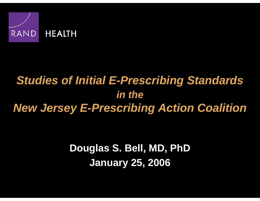

# *Studies of Initial E-Prescribing Standards in theNew Jersey E-Prescribing Action Coalition*

**Douglas S. Bell, MD, PhD January 25, 2006**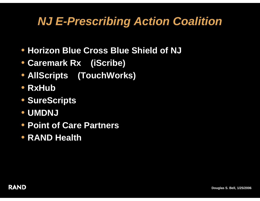# *NJ E-Prescribing Action Coalition*

- **Horizon Blue Cross Blue Shield of NJ**
- **Caremark Rx (iScribe)**
- **AllScripts (TouchWorks)**
- **RxHub**
- **SureScripts**
- **UMDNJ**
- **Point of Care Partners**
- **RAND Health**

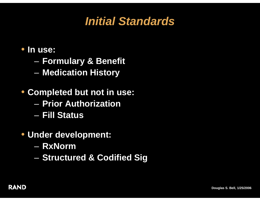

#### • **In use:**

- $\mathcal{L}_{\mathcal{A}}$ **Formulary & Benefit**
- $\mathcal{L}_{\mathcal{A}}$ **Medication History**
- **Completed but not in use:**
	- **Prior Authorization**
	- **Fill Status**
- **Under development:**
	- **RxNorm**
	- $\mathcal{L}_{\mathcal{A}}$ **– Structured & Codified Sig**

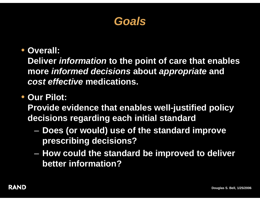### *Goals*

#### • **Overall:**

**Deliver** *information* **to the point of care that enables more** *informed decisions* **about** *appropriate* **and**  *cost effective* **medications.**

#### • **Our Pilot:**

**Provide evidence that enables well-justified policy decisions regarding each initial standard**

- – **Does (or would) use of the standard improve prescribing decisions?**
- $\mathcal{L}_{\mathcal{A}}$  **How could the standard be improved to deliver better information?**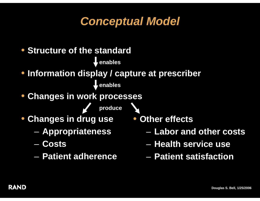# *Conceptual Model*

- **Structure of the standardenables** • **Information display / capture at prescriber enables** • **Changes in work processes produce** • **Changes in drug use** • **Other effects**  $\mathcal{L}_{\mathcal{A}}$  **Appropriateness** – **Labor and other costs**
	- **Health service use**
	- **Patient satisfaction**

– **Costs**

– **Patient adherence**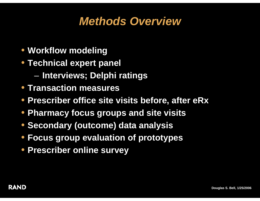# *Methods Overview*

- **Workflow modeling**
- **Technical expert panel** 
	- $\mathcal{L}_{\mathcal{A}}$ **Interviews; Delphi ratings**
- **Transaction measures**
- **Prescriber office site visits before, after eRx**
- **Pharmacy focus groups and site visits**
- **Secondary (outcome) data analysis**
- **Focus group evaluation of prototypes**
- **Prescriber online survey**

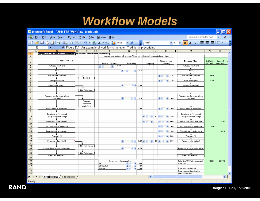# *Workflow Models*

|                                                                                           | Microsoft Excel - RAND F&B Workflow -Model.xls                                       |                             |                                   |                                                        |     |                                                                                                                                                                                                                                                                                                                                                                                             |                                                |                             |  |                                   |                                                    |                     |                        |                           |  |  |
|-------------------------------------------------------------------------------------------|--------------------------------------------------------------------------------------|-----------------------------|-----------------------------------|--------------------------------------------------------|-----|---------------------------------------------------------------------------------------------------------------------------------------------------------------------------------------------------------------------------------------------------------------------------------------------------------------------------------------------------------------------------------------------|------------------------------------------------|-----------------------------|--|-----------------------------------|----------------------------------------------------|---------------------|------------------------|---------------------------|--|--|
| [적]<br>File                                                                               | Edit<br>View<br>Insert                                                               | Format Tools<br>Data Window | Help                              |                                                        |     |                                                                                                                                                                                                                                                                                                                                                                                             |                                                |                             |  |                                   | Type a question for help                           |                     |                        | $\boldsymbol{\mathsf{x}}$ |  |  |
|                                                                                           |                                                                                      |                             |                                   | $\blacksquare$                                         |     | <b>ELE</b> Arial                                                                                                                                                                                                                                                                                                                                                                            |                                                |                             |  | $\bullet$ 8 $\bullet$   B   $I$ U |                                                    | ■ 事情 ■ ■ ・          |                        | ti<br>R                   |  |  |
| Figure D.1. An example of workflow simulation: Traditional prescribing<br>B1<br>$\bullet$ |                                                                                      |                             |                                   |                                                        |     |                                                                                                                                                                                                                                                                                                                                                                                             |                                                |                             |  |                                   |                                                    |                     |                        |                           |  |  |
| $\overline{A}$                                                                            | в                                                                                    | वा<br>E<br>$\Box$           | F                                 | G                                                      | H   |                                                                                                                                                                                                                                                                                                                                                                                             | J<br>Κ                                         |                             |  |                                   | м                                                  | N                   | 0                      | $\overline{\mathbf{v}}$   |  |  |
| $\mathbf{1}$<br>$\overline{2}$                                                            | Figure D.1. An example of workflow simulation: Traditional prescribing               |                             |                                   |                                                        |     |                                                                                                                                                                                                                                                                                                                                                                                             |                                                |                             |  |                                   |                                                    |                     |                        |                           |  |  |
|                                                                                           | Input parameters for work process. Please use sliding scale to specify input values. |                             |                                   |                                                        |     |                                                                                                                                                                                                                                                                                                                                                                                             |                                                |                             |  |                                   |                                                    |                     |                        |                           |  |  |
| 3                                                                                         | <b>Process Flow</b>                                                                  |                             | Number of patients                | Probability                                            |     | Frequency                                                                                                                                                                                                                                                                                                                                                                                   |                                                | Time per event<br>(seconds) |  | <b>Process Flow</b>               |                                                    | Subtotal<br>MD time | Subtotal<br>staff time |                           |  |  |
| $\overline{4}$                                                                            | Asthma patient visit                                                                 |                             | 1000<br>$\rightarrow$<br>KHI      |                                                        |     |                                                                                                                                                                                                                                                                                                                                                                                             |                                                |                             |  |                                   | Asthma patient visit                               |                     |                        |                           |  |  |
| 5                                                                                         |                                                                                      |                             |                                   |                                                        |     |                                                                                                                                                                                                                                                                                                                                                                                             |                                                |                             |  |                                   | ۰                                                  |                     |                        |                           |  |  |
| 6                                                                                         | Rx?                                                                                  |                             |                                   | KI O<br>$\rightarrow$                                  | 0.3 |                                                                                                                                                                                                                                                                                                                                                                                             |                                                |                             |  |                                   | Bx?                                                |                     |                        |                           |  |  |
| $\overline{7}$<br>8                                                                       | Yes. Select medication                                                               |                             |                                   |                                                        |     |                                                                                                                                                                                                                                                                                                                                                                                             |                                                | 15                          |  |                                   | Yes. Select medication                             | 4500                |                        |                           |  |  |
| $\overline{3}$                                                                            |                                                                                      | No. End.                    |                                   |                                                        |     |                                                                                                                                                                                                                                                                                                                                                                                             | ⊀⊪<br>$\blacktriangleright$                    |                             |  |                                   |                                                    |                     |                        |                           |  |  |
| $10-10$                                                                                   | Write prescription                                                                   |                             |                                   |                                                        |     |                                                                                                                                                                                                                                                                                                                                                                                             | $\blacktriangleright$<br>◂                     | 30                          |  |                                   | Write prescription                                 | 3000                |                        |                           |  |  |
| 11                                                                                        |                                                                                      |                             |                                   |                                                        |     |                                                                                                                                                                                                                                                                                                                                                                                             |                                                |                             |  |                                   |                                                    |                     |                        |                           |  |  |
| 12                                                                                        | Successful transmit?                                                                 |                             |                                   | $\Box$ $\triangleright$ 0.98<br>$\left  \cdot \right $ |     |                                                                                                                                                                                                                                                                                                                                                                                             |                                                |                             |  |                                   | Successful transmit?                               |                     |                        |                           |  |  |
| 13                                                                                        |                                                                                      |                             |                                   |                                                        |     |                                                                                                                                                                                                                                                                                                                                                                                             |                                                |                             |  |                                   |                                                    |                     |                        |                           |  |  |
| 14                                                                                        |                                                                                      | No. Failed med.             |                                   |                                                        |     |                                                                                                                                                                                                                                                                                                                                                                                             |                                                |                             |  |                                   |                                                    |                     |                        |                           |  |  |
| 15                                                                                        |                                                                                      |                             |                                   |                                                        |     |                                                                                                                                                                                                                                                                                                                                                                                             |                                                |                             |  |                                   |                                                    |                     |                        |                           |  |  |
| 16                                                                                        | Pharmacy checks prescription.<br>Formulary OK?                                       |                             |                                   | n.<br>к<br>$\rightarrow$                               | 0.3 |                                                                                                                                                                                                                                                                                                                                                                                             | ◂⊪<br>$\rightarrow$                            | 60                          |  |                                   | Pharmacy checks prescription.<br>Formulary OK?     |                     |                        |                           |  |  |
|                                                                                           |                                                                                      |                             |                                   |                                                        |     |                                                                                                                                                                                                                                                                                                                                                                                             |                                                |                             |  |                                   |                                                    |                     |                        |                           |  |  |
|                                                                                           |                                                                                      | Approve.<br>Successful      |                                   |                                                        |     |                                                                                                                                                                                                                                                                                                                                                                                             |                                                |                             |  |                                   |                                                    |                     |                        |                           |  |  |
| 17                                                                                        |                                                                                      | medication.                 |                                   |                                                        |     |                                                                                                                                                                                                                                                                                                                                                                                             |                                                |                             |  |                                   |                                                    |                     |                        |                           |  |  |
| 18                                                                                        | Reject. Look at alternative.                                                         |                             |                                   |                                                        | 0.1 |                                                                                                                                                                                                                                                                                                                                                                                             |                                                | -60                         |  |                                   | Reject. Look at alternative.                       |                     |                        |                           |  |  |
| 19                                                                                        |                                                                                      |                             |                                   |                                                        |     |                                                                                                                                                                                                                                                                                                                                                                                             | $\rightarrow$<br>◂⊪                            |                             |  |                                   |                                                    |                     |                        |                           |  |  |
|                                                                                           |                                                                                      |                             |                                   |                                                        |     |                                                                                                                                                                                                                                                                                                                                                                                             |                                                |                             |  |                                   |                                                    |                     |                        |                           |  |  |
| 20                                                                                        | Telephone or fax to send<br>Change Request message                                   |                             |                                   |                                                        |     | KHOI                                                                                                                                                                                                                                                                                                                                                                                        | $\blacktriangleright$ 1.3 4 $\blacksquare$     | $\ge$ 240                   |  |                                   | Telephone or fax to send<br>Change Request message |                     |                        |                           |  |  |
| 21                                                                                        |                                                                                      |                             |                                   |                                                        |     |                                                                                                                                                                                                                                                                                                                                                                                             |                                                |                             |  |                                   |                                                    |                     |                        |                           |  |  |
| $\overline{22}$                                                                           | Office staff check with MD                                                           |                             |                                   |                                                        |     | K O<br>$\rightarrow$                                                                                                                                                                                                                                                                                                                                                                        | $1.1 \leq$                                     | $ * $ 600                   |  |                                   | Office staff check with MD                         |                     | 19404                  |                           |  |  |
| 23                                                                                        |                                                                                      |                             |                                   |                                                        |     |                                                                                                                                                                                                                                                                                                                                                                                             |                                                |                             |  |                                   |                                                    |                     |                        |                           |  |  |
| 24                                                                                        | MD authorize as requested                                                            |                             |                                   |                                                        |     |                                                                                                                                                                                                                                                                                                                                                                                             | $\blacktriangleright$<br>к⊪                    | 60                          |  |                                   | MD authorize as requested                          | 1764                |                        |                           |  |  |
| 25                                                                                        |                                                                                      |                             |                                   |                                                        |     |                                                                                                                                                                                                                                                                                                                                                                                             |                                                |                             |  |                                   |                                                    |                     |                        |                           |  |  |
| $\overline{26}$                                                                           | Transmit back to pharmacy                                                            |                             |                                   |                                                        |     |                                                                                                                                                                                                                                                                                                                                                                                             | $\blacktriangleright$<br>⊀∥                    | 120                         |  |                                   | Transmit back to pharmacy                          |                     | 3528                   |                           |  |  |
| 27                                                                                        |                                                                                      |                             |                                   |                                                        |     |                                                                                                                                                                                                                                                                                                                                                                                             |                                                |                             |  |                                   |                                                    |                     |                        |                           |  |  |
| 28                                                                                        | <b>Pharmacy fill</b>                                                                 |                             |                                   |                                                        |     |                                                                                                                                                                                                                                                                                                                                                                                             | ◂                                              | $\blacktriangleright$ 300   |  |                                   | Pharmacy fill                                      |                     |                        |                           |  |  |
| 29                                                                                        |                                                                                      |                             |                                   |                                                        |     |                                                                                                                                                                                                                                                                                                                                                                                             |                                                |                             |  |                                   |                                                    |                     |                        |                           |  |  |
| 30                                                                                        | Pharmacy calls patient?                                                              |                             |                                   | $\left  \cdot \right $                                 |     | $\begin{array}{ c c c c c }\n\hline\n\multicolumn{1}{ c }{\hspace{1.2cm} }}\n\hline\n\multicolumn{1}{ c }{\hspace{1.2cm} }}\n\hline\n\multicolumn{1}{ c }{\hspace{1.2cm} }}\n\hline\n\multicolumn{1}{ c }{\hspace{1.2cm} }}\n\hline\n\multicolumn{1}{ c }{\hspace{1.2cm} }}\n\hline\n\multicolumn{1}{ c }{\hspace{1.2cm} }}\n\hline\n\multicolumn{1}{ c }{\hspace{1.2cm} }}\n\hline\n\mult$ | $\blacktriangleright$ 1.3 $\blacktriangleleft$ | $\blacktriangleright$ 300   |  |                                   | Pharmacy calls patient?                            |                     |                        |                           |  |  |
| 31<br>32                                                                                  |                                                                                      | No. Failed med.             |                                   |                                                        |     |                                                                                                                                                                                                                                                                                                                                                                                             |                                                |                             |  |                                   |                                                    |                     |                        |                           |  |  |
| $\overline{33}$                                                                           | Patient show and get medication?                                                     |                             |                                   | $\rightarrow$ 0.95<br>$\left  \cdot \right $           |     |                                                                                                                                                                                                                                                                                                                                                                                             |                                                |                             |  |                                   | Patient show to get medication?                    |                     |                        |                           |  |  |
| 34                                                                                        |                                                                                      |                             |                                   |                                                        |     |                                                                                                                                                                                                                                                                                                                                                                                             |                                                |                             |  |                                   |                                                    |                     |                        |                           |  |  |
| 35                                                                                        |                                                                                      | No. Failed med.             |                                   |                                                        |     |                                                                                                                                                                                                                                                                                                                                                                                             |                                                |                             |  |                                   |                                                    |                     |                        |                           |  |  |
| 36                                                                                        | Successful medication.                                                               |                             |                                   |                                                        |     |                                                                                                                                                                                                                                                                                                                                                                                             |                                                |                             |  |                                   | Successful medication.                             |                     |                        |                           |  |  |
| 37                                                                                        |                                                                                      |                             |                                   |                                                        |     |                                                                                                                                                                                                                                                                                                                                                                                             |                                                |                             |  |                                   |                                                    |                     |                        |                           |  |  |
| 38                                                                                        | Hourly cost rate assumption                                                          |                             |                                   |                                                        |     |                                                                                                                                                                                                                                                                                                                                                                                             |                                                |                             |  | Total time/1000 pts. (seconds)    | 15264                                              | 22932               |                        |                           |  |  |
| 39                                                                                        |                                                                                      |                             | MD.<br>100<br>$\rightarrow$<br>K⊞ |                                                        |     |                                                                                                                                                                                                                                                                                                                                                                                             |                                                | Total cost                  |  |                                   |                                                    |                     |                        |                           |  |  |
| 40                                                                                        |                                                                                      |                             | Office staff                      | $\rightarrow$<br>к                                     | 20  |                                                                                                                                                                                                                                                                                                                                                                                             |                                                |                             |  |                                   |                                                    |                     |                        |                           |  |  |
| 41                                                                                        |                                                                                      |                             | Pharmacist                        | к<br>$\rightarrow$                                     | 60  |                                                                                                                                                                                                                                                                                                                                                                                             |                                                |                             |  | <b>Total failed medication</b>    |                                                    |                     |                        |                           |  |  |
| 42                                                                                        |                                                                                      |                             |                                   |                                                        |     |                                                                                                                                                                                                                                                                                                                                                                                             |                                                |                             |  | Total successful medication       |                                                    |                     |                        |                           |  |  |
| 43                                                                                        |                                                                                      |                             |                                   |                                                        |     |                                                                                                                                                                                                                                                                                                                                                                                             |                                                |                             |  | <b>Total Medication</b>           |                                                    |                     |                        |                           |  |  |
| $H \rightarrow H$ M traditional $\sqrt{e}$ -prescribe<br>k<br>IIII.                       |                                                                                      |                             |                                   |                                                        |     |                                                                                                                                                                                                                                                                                                                                                                                             |                                                |                             |  |                                   |                                                    |                     |                        | $\geq$                    |  |  |
| Ready                                                                                     |                                                                                      |                             |                                   |                                                        |     |                                                                                                                                                                                                                                                                                                                                                                                             |                                                |                             |  |                                   |                                                    |                     |                        |                           |  |  |

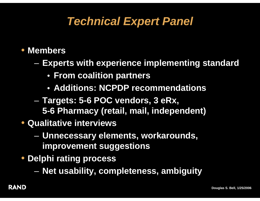# *Technical Expert Panel*

#### • **Members**

- $\mathcal{L}_{\mathcal{A}}$  **Experts with experience implementing standard**
	- **From coalition partners**
	- **Additions: NCPDP recommendations**
- $\mathcal{L}_{\mathcal{A}}$  **Targets: 5-6 POC vendors, 3 eRx, 5-6 Pharmacy (retail, mail, independent)**
- **Qualitative interviews**
	- $\mathcal{L}_{\mathcal{A}}$  **Unnecessary elements, workarounds, improvement suggestions**
- **Delphi rating process**
	- $\mathcal{L}_{\mathcal{A}}$ **Net usability, completeness, ambiguity**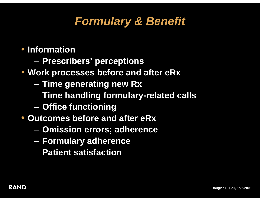# *Formulary & Benefit*

- $\mathcal{L}_{\mathcal{A}}$ **Prescribers' perceptions**
- **Work processes before and after eRx**
	- $\mathcal{L}_{\mathcal{A}}$ **Time generating new Rx**
	- $\mathcal{L}_{\mathcal{A}}$ **Time handling formulary-related calls**
	- $\mathcal{L}_{\mathcal{A}}$ **Office functioning**
- **Outcomes before and after eRx**
	- $\mathcal{L}_{\mathcal{A}}$ **Omission errors; adherence**
	- $\mathcal{L}_{\mathcal{A}}$ **Formulary adherence**
	- **Patient satisfaction**

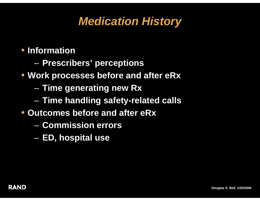# *Medication History*

- $\mathcal{L}_{\mathcal{A}}$ **Prescribers' perceptions**
- **Work processes before and after eRx**
	- $\mathcal{L}_{\mathcal{A}}$ **Time generating new Rx**
	- $\mathcal{L}_{\mathcal{A}}$ **Time handling safety-related calls**
- **Outcomes before and after eRx**
	- **Commission errors**
	- $\mathcal{L}_{\mathcal{A}}$ **ED, hospital use**

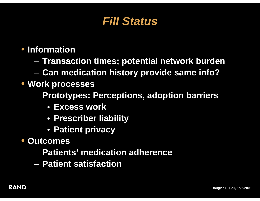## *Fill Status*

#### • **Information**

 $\mathcal{L}_{\mathcal{A}}$ **Transaction times; potential network burden**

 $\mathcal{L}_{\mathcal{A}}$ **Can medication history provide same info?**

#### • **Work processes**

- $\mathcal{L}_{\mathcal{A}}$  **Prototypes: Perceptions, adoption barriers**
	- **Excess work**
	- **Prescriber liability**
	- **Patient privacy**
- • **Outcomes**
	- **Patients' medication adherence**
	- **Patient satisfaction**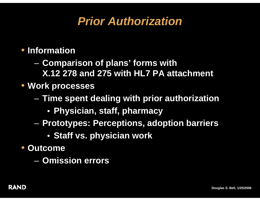# *Prior Authorization*

- $\mathcal{L}_{\mathcal{A}}$  **Comparison of plans' forms with X.12 278 and 275 with HL7 PA attachment**
- **Work processes**
	- $\mathcal{L}_{\mathcal{A}}$  **Time spent dealing with prior authorization**
		- **Physician, staff, pharmacy**
	- $\mathcal{L}_{\mathcal{A}}$  **Prototypes: Perceptions, adoption barriers**
		- **Staff vs. physician work**
- • **Outcome**
	- **Omission errors**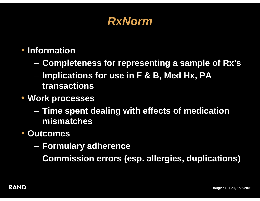### *RxNorm*

### • **Information**

- $\mathcal{L}_{\mathcal{A}}$ **Completeness for representing a sample of Rx's**
- $\mathcal{L}_{\mathcal{A}}$  **Implications for use in F & B, Med Hx, PA transactions**
- **Work processes**
	- $\mathcal{L}_{\mathcal{A}}$  **Time spent dealing with effects of medication mismatches**

#### $\bullet$ **Outcomes**

- $\mathcal{L}_{\mathcal{A}}$ **Formulary adherence**
- $\mathcal{L}_{\mathcal{A}}$ **Commission errors (esp. allergies, duplications)**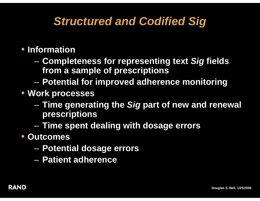# *Structured and Codified Sig*

- $\mathcal{L}_{\mathcal{A}}$  **Completeness for representing text** *Sig* **fields from a sample of prescriptions**
- $\mathcal{L}_{\mathcal{A}}$ **Potential for improved adherence monitoring**
- **Work processes**
	- $\mathcal{L}_{\mathcal{A}}$  **Time generating the** *Sig* **part of new and renewal prescriptions**
	- $\mathcal{L}_{\mathcal{A}}$ **Time spent dealing with dosage errors**
- • **Outcomes**
	- $\mathcal{L}_{\mathcal{A}}$ **Potential dosage errors**
	- **Patient adherence**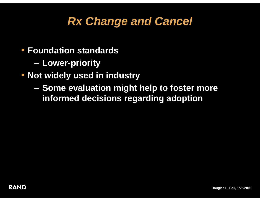# *Rx Change and Cancel*

- **Foundation standards**
	- $\mathcal{L}_{\mathcal{A}}$ **Lower-priority**
- **Not widely used in industry**
	- $\mathcal{L}_{\mathcal{A}}$  **Some evaluation might help to foster more informed decisions regarding adoption**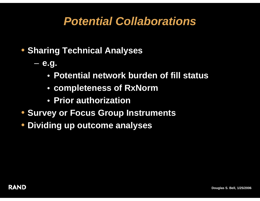# *Potential Collaborations*

- **Sharing Technical Analyses**
	- **e.g.**
		- **Potential network burden of fill status**
		- **completeness of RxNorm**
		- **Prior authorization**
- **Survey or Focus Group Instruments**
- $\bullet$ **Dividing up outcome analyses**